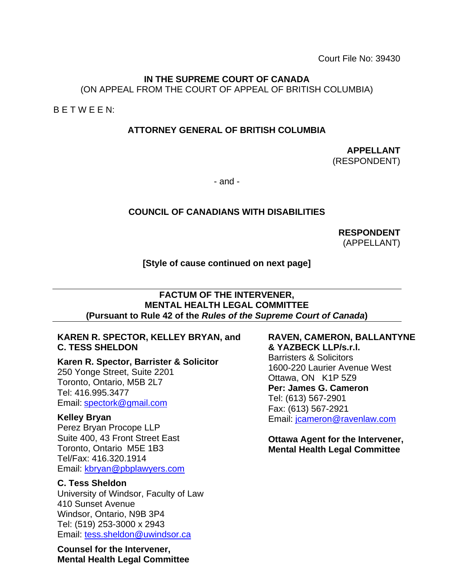Court File No: 39430

### **IN THE SUPREME COURT OF CANADA**

(ON APPEAL FROM THE COURT OF APPEAL OF BRITISH COLUMBIA)

B E T W E E N:

### **ATTORNEY GENERAL OF BRITISH COLUMBIA**

**APPELLANT** (RESPONDENT)

- and -

### **COUNCIL OF CANADIANS WITH DISABILITIES**

**RESPONDENT** (APPELLANT)

### **[Style of cause continued on next page]**

#### **FACTUM OF THE INTERVENER, MENTAL HEALTH LEGAL COMMITTEE (Pursuant to Rule 42 of the** *Rules of the Supreme Court of Canada***)**

### **KAREN R. SPECTOR, KELLEY BRYAN, and C. TESS SHELDON**

**Karen R. Spector, Barrister & Solicitor** 250 Yonge Street, Suite 2201 Toronto, Ontario, M5B 2L7 Tel: 416.995.3477 Email: [spectork@gmail.com](mailto:spectork@gmail.com)

### **Kelley Bryan**

Perez Bryan Procope LLP Suite 400, 43 Front Street East Toronto, Ontario M5E 1B3 Tel/Fax: 416.320.1914 Email: [kbryan@pbplawyers.com](mailto:kbryan@pbplawyers.com)

### **C. Tess Sheldon**

University of Windsor, Faculty of Law 410 Sunset Avenue Windsor, Ontario, N9B 3P4 Tel: (519) 253-3000 x 2943 Email: [tess.sheldon@uwindsor.ca](mailto:tess.sheldon@uwindsor.ca)

**Counsel for the Intervener, Mental Health Legal Committee**

### **RAVEN, CAMERON, BALLANTYNE & YAZBECK LLP/s.r.l.**

Barristers & Solicitors 1600-220 Laurier Avenue West Ottawa, ON K1P 5Z9 **Per: James G. Cameron** Tel: (613) 567-2901 Fax: (613) 567-2921 Email: [jcameron@ravenlaw.com](mailto:jcameron@ravenlaw.com)

**Ottawa Agent for the Intervener, Mental Health Legal Committee**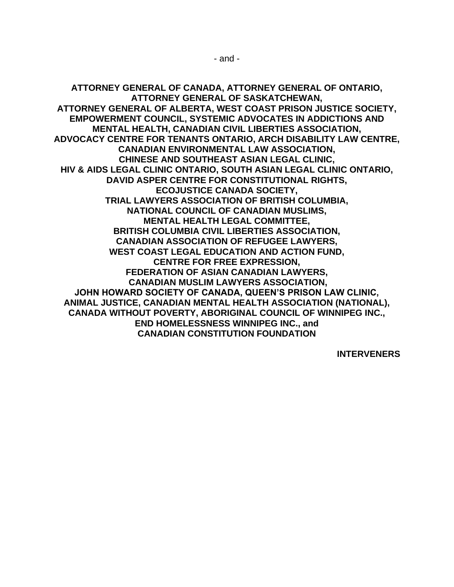**ATTORNEY GENERAL OF CANADA, ATTORNEY GENERAL OF ONTARIO, ATTORNEY GENERAL OF SASKATCHEWAN, ATTORNEY GENERAL OF ALBERTA, WEST COAST PRISON JUSTICE SOCIETY, EMPOWERMENT COUNCIL, SYSTEMIC ADVOCATES IN ADDICTIONS AND MENTAL HEALTH, CANADIAN CIVIL LIBERTIES ASSOCIATION, ADVOCACY CENTRE FOR TENANTS ONTARIO, ARCH DISABILITY LAW CENTRE, CANADIAN ENVIRONMENTAL LAW ASSOCIATION, CHINESE AND SOUTHEAST ASIAN LEGAL CLINIC, HIV & AIDS LEGAL CLINIC ONTARIO, SOUTH ASIAN LEGAL CLINIC ONTARIO, DAVID ASPER CENTRE FOR CONSTITUTIONAL RIGHTS, ECOJUSTICE CANADA SOCIETY, TRIAL LAWYERS ASSOCIATION OF BRITISH COLUMBIA, NATIONAL COUNCIL OF CANADIAN MUSLIMS, MENTAL HEALTH LEGAL COMMITTEE, BRITISH COLUMBIA CIVIL LIBERTIES ASSOCIATION, CANADIAN ASSOCIATION OF REFUGEE LAWYERS, WEST COAST LEGAL EDUCATION AND ACTION FUND, CENTRE FOR FREE EXPRESSION, FEDERATION OF ASIAN CANADIAN LAWYERS, CANADIAN MUSLIM LAWYERS ASSOCIATION, JOHN HOWARD SOCIETY OF CANADA, QUEEN'S PRISON LAW CLINIC, ANIMAL JUSTICE, CANADIAN MENTAL HEALTH ASSOCIATION (NATIONAL), CANADA WITHOUT POVERTY, ABORIGINAL COUNCIL OF WINNIPEG INC., END HOMELESSNESS WINNIPEG INC., and CANADIAN CONSTITUTION FOUNDATION**

**INTERVENERS**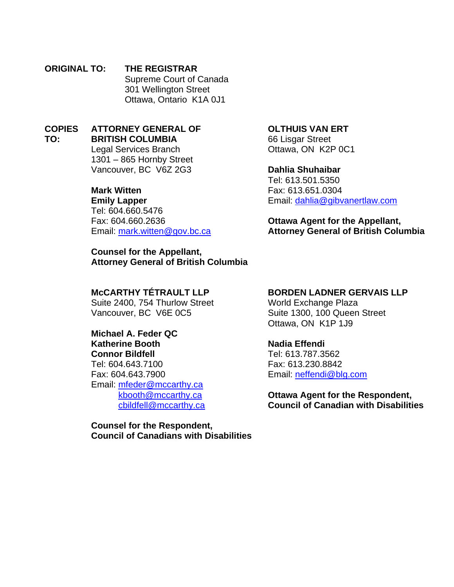#### **ORIGINAL TO: THE REGISTRAR** Supreme Court of Canada 301 Wellington Street Ottawa, Ontario K1A 0J1

#### **COPIES TO: ATTORNEY GENERAL OF BRITISH COLUMBIA**

Legal Services Branch 1301 – 865 Hornby Street Vancouver, BC V6Z 2G3

## **Mark Witten**

**Emily Lapper** Tel: 604.660.5476 Fax: 604.660.2636 Email: [mark.witten@gov.bc.ca](mailto:mark.witten@gov.bc.ca)

**Counsel for the Appellant, Attorney General of British Columbia**

#### **OLTHUIS VAN ERT**

66 Lisgar Street Ottawa, ON K2P 0C1

#### **Dahlia Shuhaibar**

Tel: 613.501.5350 Fax: 613.651.0304 Email: [dahlia@gibvanertlaw.com](mailto:dahlia@gibvanertlaw.com)

### **Ottawa Agent for the Appellant, Attorney General of British Columbia**

### **McCARTHY TÉTRAULT LLP**

Suite 2400, 754 Thurlow Street Vancouver, BC V6E 0C5

#### **Michael A. Feder QC Katherine Booth**

**Connor Bildfell**

Tel: 604.643.7100

Fax: 604.643.7900 Email: [mfeder@mccarthy.ca](mailto:mfeder@mccarthy.ca)

[kbooth@mccarthy.ca](mailto:kbooth@mccarthy.ca) [cbildfell@mccarthy.ca](mailto:cbildfell@mccarthy.ca)

### **Counsel for the Respondent, Council of Canadians with Disabilities**

### **BORDEN LADNER GERVAIS LLP**

World Exchange Plaza Suite 1300, 100 Queen Street Ottawa, ON K1P 1J9

### **Nadia Effendi**

Tel: 613.787.3562 Fax: 613.230.8842 Email: [neffendi@blg.com](mailto:neffendi@blg.com)

**Ottawa Agent for the Respondent, Council of Canadian with Disabilities**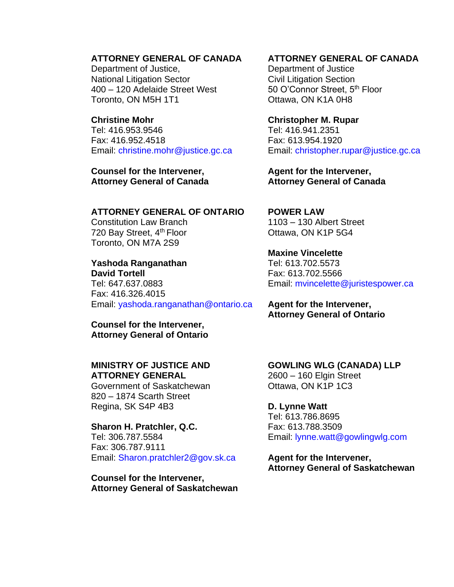#### **ATTORNEY GENERAL OF CANADA**

Department of Justice, National Litigation Sector 400 – 120 Adelaide Street West Toronto, ON M5H 1T1

#### **Christine Mohr**

Tel: 416.953.9546 Fax: 416.952.4518 Email: christine.mohr@justice.gc.ca

#### **Counsel for the Intervener, Attorney General of Canada**

#### **ATTORNEY GENERAL OF ONTARIO**

Constitution Law Branch 720 Bay Street, 4<sup>th</sup> Floor Toronto, ON M7A 2S9

#### **Yashoda Ranganathan David Tortell**

Tel: 647.637.0883 Fax: 416.326.4015 Email: yashoda.ranganathan@ontario.ca

**Counsel for the Intervener, Attorney General of Ontario** 

### **MINISTRY OF JUSTICE AND ATTORNEY GENERAL**

Government of Saskatchewan 820 – 1874 Scarth Street Regina, SK S4P 4B3

**Sharon H. Pratchler, Q.C.**  Tel: 306.787.5584 Fax: 306.787.9111 Email: Sharon.pratchler2@gov.sk.ca

**Counsel for the Intervener, Attorney General of Saskatchewan** 

### **ATTORNEY GENERAL OF CANADA**

Department of Justice Civil Litigation Section 50 O'Connor Street, 5<sup>th</sup> Floor Ottawa, ON K1A 0H8

**Christopher M. Rupar**  Tel: 416.941.2351 Fax: 613.954.1920 Email: christopher.rupar@justice.gc.ca

**Agent for the Intervener, Attorney General of Canada** 

**POWER LAW**  1103 – 130 Albert Street Ottawa, ON K1P 5G4

**Maxine Vincelette**  Tel: 613.702.5573 Fax: 613.702.5566 Email: mvincelette@juristespower.ca

#### **Agent for the Intervener, Attorney General of Ontario**

**GOWLING WLG (CANADA) LLP**  2600 – 160 Elgin Street Ottawa, ON K1P 1C3

**D. Lynne Watt**  Tel: 613.786.8695 Fax: 613.788.3509 Email: lynne.watt@gowlingwlg.com

**Agent for the Intervener, Attorney General of Saskatchewan**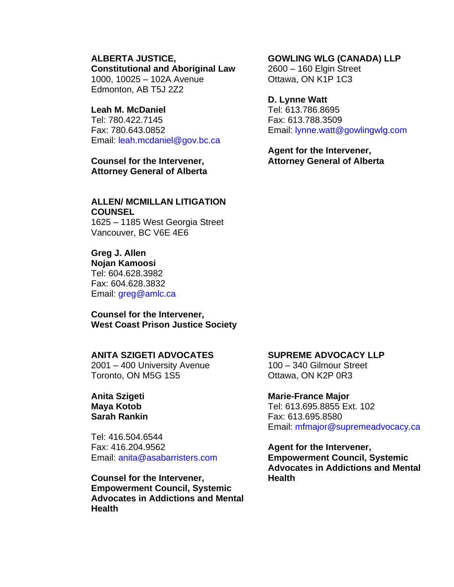#### **ALBERTA JUSTICE, Constitutional and Aboriginal Law**

1000, 10025 – 102A Avenue Edmonton, AB T5J 2Z2

#### **Leah M. McDaniel**

Tel: 780.422.7145 Fax: 780.643.0852 Email: leah.mcdaniel@gov.bc.ca

**Counsel for the Intervener, Attorney General of Alberta** 

### **ALLEN/ MCMILLAN LITIGATION COUNSEL**

1625 – 1185 West Georgia Street Vancouver, BC V6E 4E6

### **Greg J. Allen**

**Nojan Kamoosi** Tel: 604.628.3982 Fax: 604.628.3832 Email: greg@amlc.ca

**Counsel for the Intervener, West Coast Prison Justice Society** 

#### **ANITA SZIGETI ADVOCATES**

2001 – 400 University Avenue Toronto, ON M5G 1S5

**Anita Szigeti Maya Kotob Sarah Rankin**

Tel: 416.504.6544 Fax: 416.204.9562 Email: anita@asabarristers.com

**Counsel for the Intervener, Empowerment Council, Systemic Advocates in Addictions and Mental Health** 

#### **GOWLING WLG (CANADA) LLP**

2600 – 160 Elgin Street Ottawa, ON K1P 1C3

#### **D. Lynne Watt**

Tel: 613.786.8695 Fax: 613.788.3509 Email: lynne.watt@gowlingwlg.com

**Agent for the Intervener, Attorney General of Alberta**

#### **SUPREME ADVOCACY LLP**

100 – 340 Gilmour Street Ottawa, ON K2P 0R3

#### **Marie-France Major**

Tel: 613.695.8855 Ext. 102 Fax: 613.695.8580 Email: mfmajor@supremeadvocacy.ca

**Agent for the Intervener, Empowerment Council, Systemic Advocates in Addictions and Mental Health**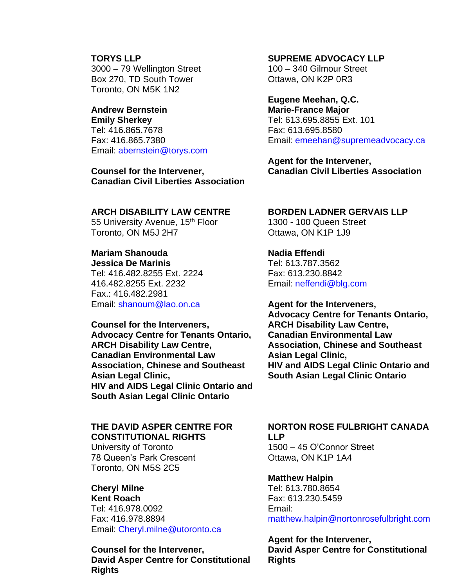#### **TORYS LLP**

3000 – 79 Wellington Street Box 270, TD South Tower Toronto, ON M5K 1N2

# **Andrew Bernstein**

**Emily Sherkey** Tel: 416.865.7678 Fax: 416.865.7380 Email: abernstein@torys.com

**Counsel for the Intervener, Canadian Civil Liberties Association** 

#### **ARCH DISABILITY LAW CENTRE**

55 University Avenue, 15<sup>th</sup> Floor Toronto, ON M5J 2H7

### **Mariam Shanouda**

**Jessica De Marinis** Tel: 416.482.8255 Ext. 2224 416.482.8255 Ext. 2232 Fax.: 416.482.2981 Email: shanoum@lao.on.ca

**Counsel for the Interveners, Advocacy Centre for Tenants Ontario, ARCH Disability Law Centre, Canadian Environmental Law Association, Chinese and Southeast Asian Legal Clinic, HIV and AIDS Legal Clinic Ontario and South Asian Legal Clinic Ontario** 

#### **THE DAVID ASPER CENTRE FOR CONSTITUTIONAL RIGHTS**

University of Toronto 78 Queen's Park Crescent Toronto, ON M5S 2C5

## **Cheryl Milne**

**Kent Roach** Tel: 416.978.0092 Fax: 416.978.8894 Email: Cheryl.milne@utoronto.ca

**Counsel for the Intervener, David Asper Centre for Constitutional Rights**

#### **SUPREME ADVOCACY LLP**

100 – 340 Gilmour Street Ottawa, ON K2P 0R3

### **Eugene Meehan, Q.C.**

**Marie-France Major** Tel: 613.695.8855 Ext. 101 Fax: 613.695.8580 Email: emeehan@supremeadvocacy.ca

**Agent for the Intervener, Canadian Civil Liberties Association** 

#### **BORDEN LADNER GERVAIS LLP**

1300 - 100 Queen Street Ottawa, ON K1P 1J9

#### **Nadia Effendi**

Tel: 613.787.3562 Fax: 613.230.8842 Email: neffendi@blg.com

**Agent for the Interveners, Advocacy Centre for Tenants Ontario, ARCH Disability Law Centre, Canadian Environmental Law Association, Chinese and Southeast Asian Legal Clinic, HIV and AIDS Legal Clinic Ontario and South Asian Legal Clinic Ontario** 

#### **NORTON ROSE FULBRIGHT CANADA LLP**

1500 – 45 O'Connor Street Ottawa, ON K1P 1A4

#### **Matthew Halpin**

Tel: 613.780.8654 Fax: 613.230.5459 Email: matthew.halpin@nortonrosefulbright.com

**Agent for the Intervener, David Asper Centre for Constitutional Rights**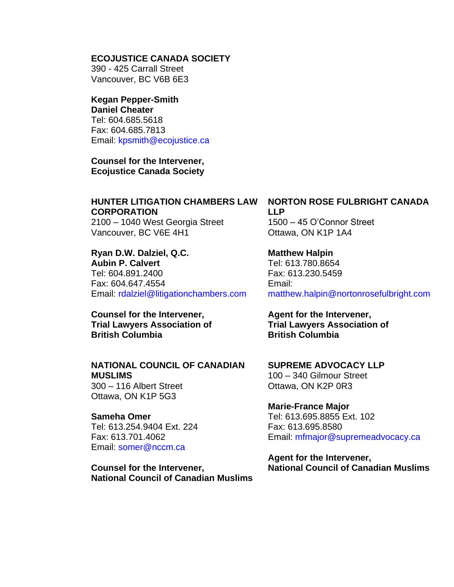#### **ECOJUSTICE CANADA SOCIETY**

390 - 425 Carrall Street Vancouver, BC V6B 6E3

#### **Kegan Pepper-Smith Daniel Cheater**

Tel: 604.685.5618 Fax: 604.685.7813 Email: kpsmith@ecojustice.ca

**Counsel for the Intervener, Ecojustice Canada Society** 

## **HUNTER LITIGATION CHAMBERS LAW CORPORATION**

2100 – 1040 West Georgia Street Vancouver, BC V6E 4H1

**Ryan D.W. Dalziel, Q.C. Aubin P. Calvert** Tel: 604.891.2400 Fax: 604.647.4554 Email: rdalziel@litigationchambers.com

**Counsel for the Intervener, Trial Lawyers Association of British Columbia** 

### **NATIONAL COUNCIL OF CANADIAN MUSLIMS**

300 – 116 Albert Street Ottawa, ON K1P 5G3

**Sameha Omer**  Tel: 613.254.9404 Ext. 224 Fax: 613.701.4062 Email: somer@nccm.ca

**Counsel for the Intervener, National Council of Canadian Muslims** 

### **NORTON ROSE FULBRIGHT CANADA LLP** 1500 – 45 O'Connor Street

Ottawa, ON K1P 1A4

#### **Matthew Halpin**

Tel: 613.780.8654 Fax: 613.230.5459 Email: matthew.halpin@nortonrosefulbright.com

**Agent for the Intervener, Trial Lawyers Association of British Columbia**

**SUPREME ADVOCACY LLP**  100 – 340 Gilmour Street Ottawa, ON K2P 0R3

**Marie-France Major**  Tel: 613.695.8855 Ext. 102 Fax: 613.695.8580 Email: mfmajor@supremeadvocacy.ca

**Agent for the Intervener, National Council of Canadian Muslims**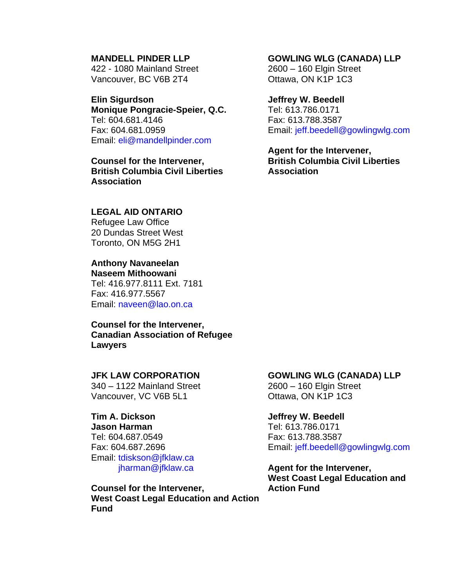#### **MANDELL PINDER LLP**

422 - 1080 Mainland Street Vancouver, BC V6B 2T4

#### **Elin Sigurdson**

**Monique Pongracie-Speier, Q.C.**  Tel: 604.681.4146 Fax: 604.681.0959 Email: eli@mandellpinder.com

**Counsel for the Intervener, British Columbia Civil Liberties Association** 

### **LEGAL AID ONTARIO**

Refugee Law Office 20 Dundas Street West Toronto, ON M5G 2H1

## **Anthony Navaneelan**

**Naseem Mithoowani** Tel: 416.977.8111 Ext. 7181 Fax: 416.977.5567 Email: naveen@lao.on.ca

#### **Counsel for the Intervener, Canadian Association of Refugee Lawyers**

#### **JFK LAW CORPORATION**

340 – 1122 Mainland Street Vancouver, VC V6B 5L1

### **Tim A. Dickson**

**Jason Harman** Tel: 604.687.0549 Fax: 604.687.2696 Email: tdiskson@jfklaw.ca jharman@jfklaw.ca

**Counsel for the Intervener, West Coast Legal Education and Action Fund** 

#### **GOWLING WLG (CANADA) LLP**

2600 – 160 Elgin Street Ottawa, ON K1P 1C3

#### **Jeffrey W. Beedell**

Tel: 613.786.0171 Fax: 613.788.3587 Email: jeff.beedell@gowlingwlg.com

**Agent for the Intervener, British Columbia Civil Liberties Association** 

#### **GOWLING WLG (CANADA) LLP**

2600 – 160 Elgin Street Ottawa, ON K1P 1C3

#### **Jeffrey W. Beedell**

Tel: 613.786.0171 Fax: 613.788.3587 Email: jeff.beedell@gowlingwlg.com

**Agent for the Intervener, West Coast Legal Education and Action Fund**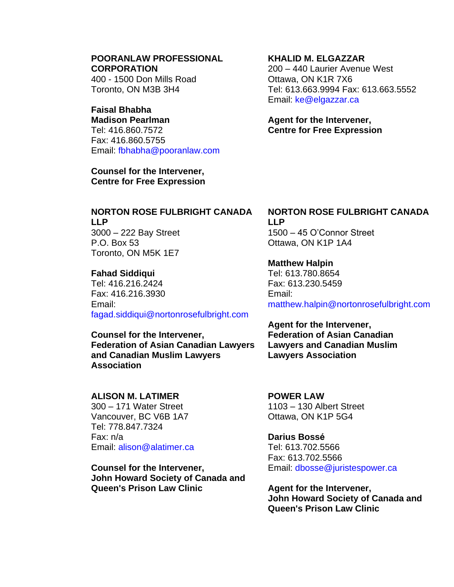#### **POORANLAW PROFESSIONAL CORPORATION**

400 - 1500 Don Mills Road Toronto, ON M3B 3H4

## **Faisal Bhabha**

**Madison Pearlman** Tel: 416.860.7572 Fax: 416.860.5755 Email: fbhabha@pooranlaw.com

**Counsel for the Intervener, Centre for Free Expression**

### **KHALID M. ELGAZZAR**

200 – 440 Laurier Avenue West Ottawa, ON K1R 7X6 Tel: 613.663.9994 Fax: 613.663.5552 Email: ke@elgazzar.ca

### **Agent for the Intervener, Centre for Free Expression**

### **NORTON ROSE FULBRIGHT CANADA LLP**

3000 – 222 Bay Street P.O. Box 53 Toronto, ON M5K 1E7

### **Fahad Siddiqui**

Tel: 416.216.2424 Fax: 416.216.3930 Email: fagad.siddiqui@nortonrosefulbright.com

**Counsel for the Intervener, Federation of Asian Canadian Lawyers and Canadian Muslim Lawyers Association** 

### **ALISON M. LATIMER**

300 – 171 Water Street Vancouver, BC V6B 1A7 Tel: 778.847.7324 Fax: n/a Email: alison@alatimer.ca

**Counsel for the Intervener, John Howard Society of Canada and Queen's Prison Law Clinic** 

## **NORTON ROSE FULBRIGHT CANADA LLP**

1500 – 45 O'Connor Street Ottawa, ON K1P 1A4

### **Matthew Halpin**

Tel: 613.780.8654 Fax: 613.230.5459 Email: matthew.halpin@nortonrosefulbright.com

**Agent for the Intervener, Federation of Asian Canadian Lawyers and Canadian Muslim Lawyers Association** 

#### **POWER LAW**  1103 – 130 Albert Street Ottawa, ON K1P 5G4

**Darius Bossé** Tel: 613.702.5566 Fax: 613.702.5566 Email: dbosse@juristespower.ca

**Agent for the Intervener, John Howard Society of Canada and Queen's Prison Law Clinic**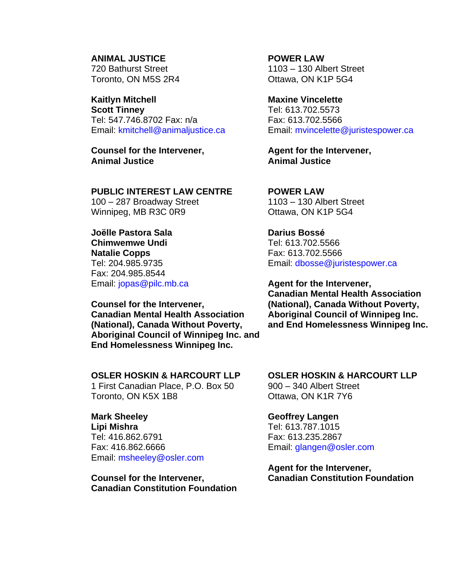**ANIMAL JUSTICE**  720 Bathurst Street Toronto, ON M5S 2R4

**Kaitlyn Mitchell** 

**Scott Tinney** Tel: 547.746.8702 Fax: n/a Email: kmitchell@animaljustice.ca

**Counsel for the Intervener, Animal Justice** 

#### **PUBLIC INTEREST LAW CENTRE**

100 – 287 Broadway Street Winnipeg, MB R3C 0R9

**Joëlle Pastora Sala Chimwemwe Undi Natalie Copps** Tel: 204.985.9735 Fax: 204.985.8544 Email: jopas@pilc.mb.ca

**Counsel for the Intervener, Canadian Mental Health Association (National), Canada Without Poverty, Aboriginal Council of Winnipeg Inc. and End Homelessness Winnipeg Inc.** 

### **OSLER HOSKIN & HARCOURT LLP**

1 First Canadian Place, P.O. Box 50 Toronto, ON K5X 1B8

#### **Mark Sheeley**

**Lipi Mishra** Tel: 416.862.6791 Fax: 416.862.6666 Email: msheeley@osler.com

**Counsel for the Intervener, Canadian Constitution Foundation** **POWER LAW**  1103 – 130 Albert Street Ottawa, ON K1P 5G4

**Maxine Vincelette** 

Tel: 613.702.5573 Fax: 613.702.5566 Email: mvincelette@juristespower.ca

**Agent for the Intervener, Animal Justice** 

**POWER LAW**  1103 – 130 Albert Street Ottawa, ON K1P 5G4

**Darius Bossé** Tel: 613.702.5566 Fax: 613.702.5566 Email: dbosse@juristespower.ca

**Agent for the Intervener, Canadian Mental Health Association (National), Canada Without Poverty, Aboriginal Council of Winnipeg Inc. and End Homelessness Winnipeg Inc.** 

## **OSLER HOSKIN & HARCOURT LLP**

900 – 340 Albert Street Ottawa, ON K1R 7Y6

#### **Geoffrey Langen**

Tel: 613.787.1015 Fax: 613.235.2867 Email: glangen@osler.com

**Agent for the Intervener, Canadian Constitution Foundation**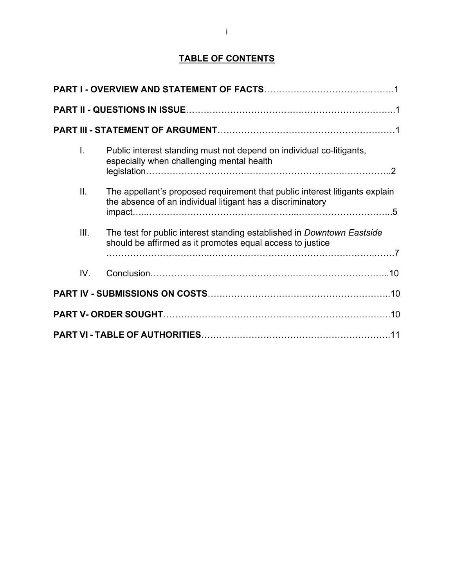## **TABLE OF CONTENTS**

|  | I.   | Public interest standing must not depend on individual co-litigants,<br>especially when challenging mental health                         |  |  |  |  |
|--|------|-------------------------------------------------------------------------------------------------------------------------------------------|--|--|--|--|
|  | ΙΙ.  | The appellant's proposed requirement that public interest litigants explain<br>the absence of an individual litigant has a discriminatory |  |  |  |  |
|  | III. | The test for public interest standing established in Downtown Eastside<br>should be affirmed as it promotes equal access to justice       |  |  |  |  |
|  | IV.  |                                                                                                                                           |  |  |  |  |
|  |      |                                                                                                                                           |  |  |  |  |
|  |      |                                                                                                                                           |  |  |  |  |
|  |      |                                                                                                                                           |  |  |  |  |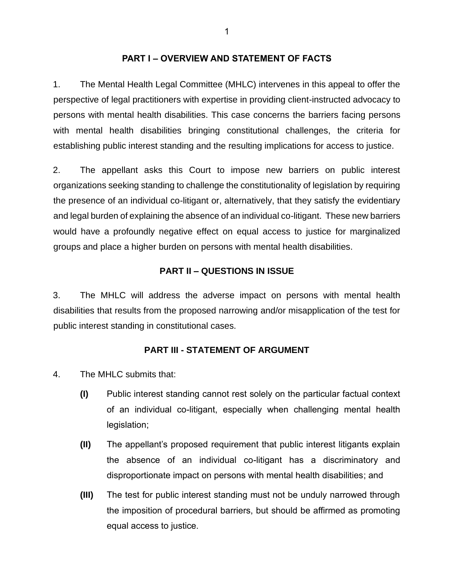#### **PART I – OVERVIEW AND STATEMENT OF FACTS**

<span id="page-11-0"></span>1. The Mental Health Legal Committee (MHLC) intervenes in this appeal to offer the perspective of legal practitioners with expertise in providing client-instructed advocacy to persons with mental health disabilities. This case concerns the barriers facing persons with mental health disabilities bringing constitutional challenges, the criteria for establishing public interest standing and the resulting implications for access to justice.

2. The appellant asks this Court to impose new barriers on public interest organizations seeking standing to challenge the constitutionality of legislation by requiring the presence of an individual co-litigant or, alternatively, that they satisfy the evidentiary and legal burden of explaining the absence of an individual co-litigant. These new barriers would have a profoundly negative effect on equal access to justice for marginalized groups and place a higher burden on persons with mental health disabilities.

### **PART II – QUESTIONS IN ISSUE**

3. The MHLC will address the adverse impact on persons with mental health disabilities that results from the proposed narrowing and/or misapplication of the test for public interest standing in constitutional cases.

### **PART III - STATEMENT OF ARGUMENT**

- 4. The MHLC submits that:
	- **(I)** Public interest standing cannot rest solely on the particular factual context of an individual co-litigant, especially when challenging mental health legislation;
	- **(II)** The appellant's proposed requirement that public interest litigants explain the absence of an individual co-litigant has a discriminatory and disproportionate impact on persons with mental health disabilities; and
	- **(III)** The test for public interest standing must not be unduly narrowed through the imposition of procedural barriers, but should be affirmed as promoting equal access to justice.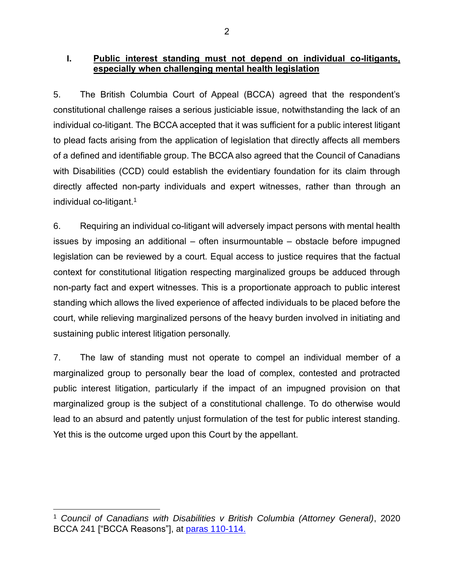### <span id="page-12-0"></span>**I. Public interest standing must not depend on individual co-litigants, especially when challenging mental health legislation**

5. The British Columbia Court of Appeal (BCCA) agreed that the respondent's constitutional challenge raises a serious justiciable issue, notwithstanding the lack of an individual co-litigant. The BCCA accepted that it was sufficient for a public interest litigant to plead facts arising from the application of legislation that directly affects all members of a defined and identifiable group. The BCCA also agreed that the Council of Canadians with Disabilities (CCD) could establish the evidentiary foundation for its claim through directly affected non-party individuals and expert witnesses, rather than through an individual co-litigant.<sup>1</sup>

6. Requiring an individual co-litigant will adversely impact persons with mental health issues by imposing an additional – often insurmountable – obstacle before impugned legislation can be reviewed by a court. Equal access to justice requires that the factual context for constitutional litigation respecting marginalized groups be adduced through non-party fact and expert witnesses. This is a proportionate approach to public interest standing which allows the lived experience of affected individuals to be placed before the court, while relieving marginalized persons of the heavy burden involved in initiating and sustaining public interest litigation personally.

7. The law of standing must not operate to compel an individual member of a marginalized group to personally bear the load of complex, contested and protracted public interest litigation, particularly if the impact of an impugned provision on that marginalized group is the subject of a constitutional challenge. To do otherwise would lead to an absurd and patently unjust formulation of the test for public interest standing. Yet this is the outcome urged upon this Court by the appellant.

<sup>1</sup> *Council of Canadians with Disabilities v British Columbia (Attorney General)*, 2020 BCCA 241 ["BCCA Reasons"], at [paras 110-114.](https://www.canlii.org/en/bc/bcca/doc/2020/2020bcca241/2020bcca241.html#par110)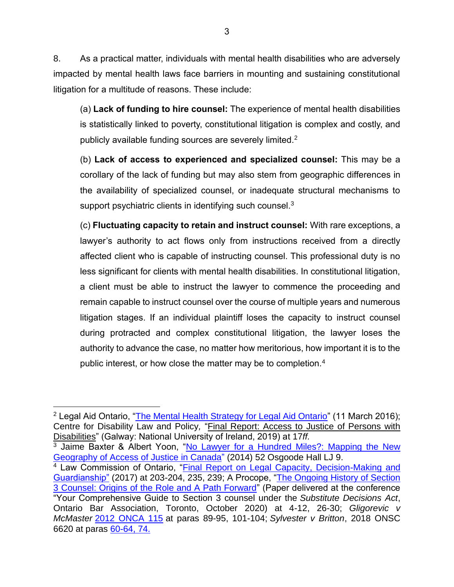8. As a practical matter, individuals with mental health disabilities who are adversely impacted by mental health laws face barriers in mounting and sustaining constitutional litigation for a multitude of reasons. These include:

(a) **Lack of funding to hire counsel:** The experience of mental health disabilities is statistically linked to poverty, constitutional litigation is complex and costly, and publicly available funding sources are severely limited. $2^2$ 

(b) **Lack of access to experienced and specialized counsel:** This may be a corollary of the lack of funding but may also stem from geographic differences in the availability of specialized counsel, or inadequate structural mechanisms to support psychiatric clients in identifying such counsel. $3$ 

(c) **Fluctuating capacity to retain and instruct counsel:** With rare exceptions, a lawyer's authority to act flows only from instructions received from a directly affected client who is capable of instructing counsel. This professional duty is no less significant for clients with mental health disabilities. In constitutional litigation, a client must be able to instruct the lawyer to commence the proceeding and remain capable to instruct counsel over the course of multiple years and numerous litigation stages. If an individual plaintiff loses the capacity to instruct counsel during protracted and complex constitutional litigation, the lawyer loses the authority to advance the case, no matter how meritorious, how important it is to the public interest, or how close the matter may be to completion.<sup>4</sup>

<sup>&</sup>lt;sup>2</sup> Legal Aid Ontario, ["The Mental Health Strategy for Legal Aid Ontario"](http://beta.legalaid.on.ca/strategic/wp-content/uploads/sites/4/2016/03/MHS-Final-EN.pdf) (11 March 2016); Centre for Disability Law and Policy*,* ["Final Report: Access to Justice of Persons with](https://www.nuigalway.ie/media/centrefordisabilitylawandpolicy/files/CDLP-Final-report-for-UN-Special-Rapporteur-on-Access-to-Justice-for-Persons-with-Disabilities-(21Jan).docx)  [Disabilities"](https://www.nuigalway.ie/media/centrefordisabilitylawandpolicy/files/CDLP-Final-report-for-UN-Special-Rapporteur-on-Access-to-Justice-for-Persons-with-Disabilities-(21Jan).docx) (Galway: National University of Ireland, 2019) at 17*ff.*

<sup>3</sup> Jaime Baxter & Albert Yoon, "No Lawyer for a Hundred Miles?: [Mapping](https://digitalcommons.osgoode.yorku.ca/cgi/viewcontent.cgi?article=2791&context=ohlj) the New [Geography](https://digitalcommons.osgoode.yorku.ca/cgi/viewcontent.cgi?article=2791&context=ohlj) of Access of Justice in Canada" (2014) 52 Osgoode Hall LJ 9.

<sup>&</sup>lt;sup>4</sup> Law Commission of Ontario, "Final Report on Legal Capacity, Decision-Making and [Guardianship"](http://www.lco-cdo.org/wp-content/uploads/2017/03/CG-Final-Report-EN-online.pdf) (2017) at 203-204, 235, 239; A Procope, ["The Ongoing History of Section](http://pbplawyers.com/wp-content/uploads/2020/10/Procope-The-Ongoing-History-of-Section-3-Counsel.pdf)  3 Counsel: Origins [of the Role and A Path Forward"](http://pbplawyers.com/wp-content/uploads/2020/10/Procope-The-Ongoing-History-of-Section-3-Counsel.pdf) (Paper delivered at the conference "Your Comprehensive Guide to Section 3 counsel under the *Substitute Decisions Act*, Ontario Bar Association, Toronto, October 2020) at 4-12, 26-30; *Gligorevic v McMaster* [2012 ONCA 115](https://www.canlii.org/en/on/onca/doc/2012/2012onca115/2012onca115.html) at paras 89-95, 101-104; *Sylvester v Britton*, 2018 ONSC 6620 at paras [60-64, 74.](https://canlii.ca/t/hvwmv)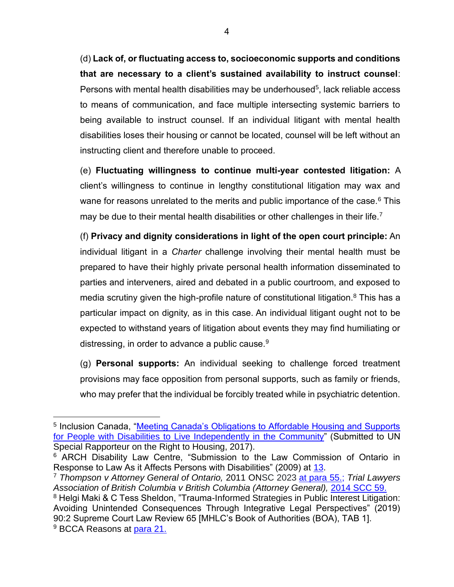(d) **Lack of, or fluctuating access to, socioeconomic supports and conditions that are necessary to a client's sustained availability to instruct counsel**: Persons with mental health disabilities may be underhoused<sup>5</sup>, lack reliable access to means of communication, and face multiple intersecting systemic barriers to being available to instruct counsel. If an individual litigant with mental health disabilities loses their housing or cannot be located, counsel will be left without an instructing client and therefore unable to proceed.

(e) **Fluctuating willingness to continue multi-year contested litigation:** A client's willingness to continue in lengthy constitutional litigation may wax and wane for reasons unrelated to the merits and public importance of the case.<sup>6</sup> This may be due to their mental health disabilities or other challenges in their life.<sup>7</sup>

(f) **Privacy and dignity considerations in light of the open court principle:** An individual litigant in a *Charter* challenge involving their mental health must be prepared to have their highly private personal health information disseminated to parties and interveners, aired and debated in a public courtroom, and exposed to media scrutiny given the high-profile nature of constitutional litigation.<sup>8</sup> This has a particular impact on dignity, as in this case. An individual litigant ought not to be expected to withstand years of litigation about events they may find humiliating or distressing, in order to advance a public cause.  $9$ 

(g) **Personal supports:** An individual seeking to challenge forced treatment provisions may face opposition from personal supports, such as family or friends, who may prefer that the individual be forcibly treated while in psychiatric detention.

<sup>&</sup>lt;sup>5</sup> Inclusion Canada, "Meeting Canada's Obligations to Affordable Housing and Supports [for People with Disabilities to Live Independently in the Community"](https://inclusioncanada.ca/wp-content/uploads/2018/05/Canada-Right-to-Housing-for-Persons-with-Disabilities-May-15-2017.pdf) (Submitted to UN Special Rapporteur on the Right to Housing, 2017).

<sup>6</sup> ARCH Disability Law Centre, "Submission to the Law Commission of Ontario in Response to Law As it Affects Persons with Disabilities" (2009) at [13.](https://www.oba.org/getmedia/16f9cc76-fd07-4922-8d1d-370048036f53/b3ARCH14.pdf)

<sup>7</sup> *Thompson v Attorney General of Ontario,* 2011 ONSC 2023 at para 55.; *[Trial Lawyers](https://canlii.ca/t/fktn1#par55)  [Association of British Columbia v British Columbia \(Attorney General\),](https://canlii.ca/t/fktn1#par55)* [2014 SCC 59.](https://www.canlii.org/en/ca/scc/doc/2014/2014scc59/2014scc59.htm)

<sup>&</sup>lt;sup>8</sup> Helgi Maki & C Tess Sheldon, "Trauma-Informed Strategies in Public Interest Litigation: Avoiding Unintended Consequences Through Integrative Legal Perspectives" (2019) 90:2 Supreme Court Law Review 65 [MHLC's Book of Authorities (BOA), TAB 1]. <sup>9</sup> BCCA Reasons at [para 21.](https://www.canlii.org/en/bc/bcca/doc/2020/2020bcca241/2020bcca241.html#par21)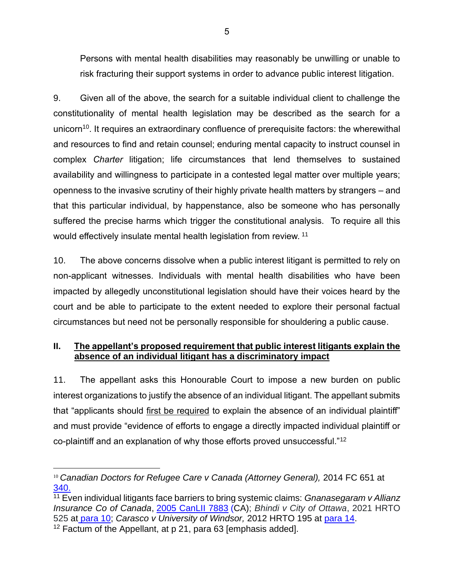<span id="page-15-0"></span>Persons with mental health disabilities may reasonably be unwilling or unable to risk fracturing their support systems in order to advance public interest litigation.

9. Given all of the above, the search for a suitable individual client to challenge the constitutionality of mental health legislation may be described as the search for a unicorn<sup>10</sup>. It requires an extraordinary confluence of prerequisite factors: the wherewithal and resources to find and retain counsel; enduring mental capacity to instruct counsel in complex *Charter* litigation; life circumstances that lend themselves to sustained availability and willingness to participate in a contested legal matter over multiple years; openness to the invasive scrutiny of their highly private health matters by strangers – and that this particular individual, by happenstance, also be someone who has personally suffered the precise harms which trigger the constitutional analysis. To require all this would effectively insulate mental health legislation from review. <sup>11</sup>

10. The above concerns dissolve when a public interest litigant is permitted to rely on non-applicant witnesses. Individuals with mental health disabilities who have been impacted by allegedly unconstitutional legislation should have their voices heard by the court and be able to participate to the extent needed to explore their personal factual circumstances but need not be personally responsible for shouldering a public cause.

### **II. The appellant's proposed requirement that public interest litigants explain the absence of an individual litigant has a discriminatory impact**

11. The appellant asks this Honourable Court to impose a new burden on public interest organizations to justify the absence of an individual litigant. The appellant submits that "applicants should first be required to explain the absence of an individual plaintiff" and must provide "evidence of efforts to engage a directly impacted individual plaintiff or co-plaintiff and an explanation of why those efforts proved unsuccessful."<sup>12</sup>

<sup>&</sup>lt;sup>10</sup> Canadian Doctors for Refugee Care v Canada (Attorney General), 2014 FC 651 at [340.](https://www.canlii.org/en/ca/fct/doc/2014/2014fc651/2014fc651.html#par340)

<sup>11</sup> Even individual litigants face barriers to bring systemic claims: *Gnanasegaram v Allianz Insurance Co of Canada*, [2005 CanLII 7883](https://www.canlii.org/en/on/onca/doc/2005/2005canlii7883/2005canlii7883.html) (CA); *Bhindi v City of Ottawa*, 2021 HRTO 525 at [para 10;](https://canlii.ca/t/jgpqd#par10) *Carasco v University of Windsor,* 2012 HRTO 195 at [para 14.](https://canlii.ca/t/fpthq#par14)

 $12$  Factum of the Appellant, at p 21, para 63 [emphasis added].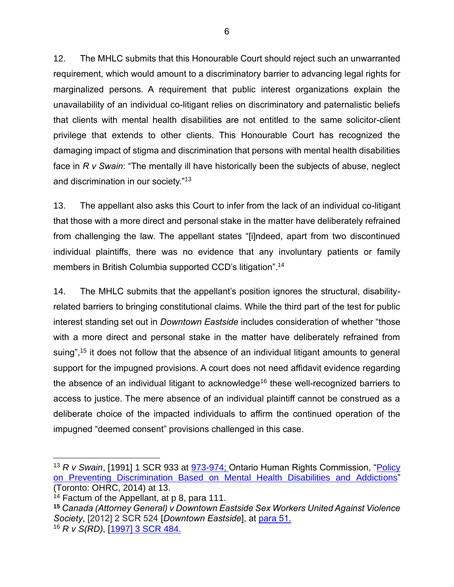12. The MHLC submits that this Honourable Court should reject such an unwarranted requirement, which would amount to a discriminatory barrier to advancing legal rights for marginalized persons. A requirement that public interest organizations explain the unavailability of an individual co-litigant relies on discriminatory and paternalistic beliefs that clients with mental health disabilities are not entitled to the same solicitor-client privilege that extends to other clients. This Honourable Court has recognized the damaging impact of stigma and discrimination that persons with mental health disabilities face in *R v Swain*: "The mentally ill have historically been the subjects of abuse, neglect and discrimination in our society."<sup>13</sup>

13. The appellant also asks this Court to infer from the lack of an individual co-litigant that those with a more direct and personal stake in the matter have deliberately refrained from challenging the law. The appellant states "[i]ndeed, apart from two discontinued individual plaintiffs, there was no evidence that any involuntary patients or family members in British Columbia supported CCD's litigation".<sup>14</sup>

14. The MHLC submits that the appellant's position ignores the structural, disabilityrelated barriers to bringing constitutional claims. While the third part of the test for public interest standing set out in *Downtown Eastside* includes consideration of whether "those with a more direct and personal stake in the matter have deliberately refrained from suing",<sup>15</sup> it does not follow that the absence of an individual litigant amounts to general support for the impugned provisions. A court does not need affidavit evidence regarding the absence of an individual litigant to acknowledge<sup>16</sup> these well-recognized barriers to access to justice. The mere absence of an individual plaintiff cannot be construed as a deliberate choice of the impacted individuals to affirm the continued operation of the impugned "deemed consent" provisions challenged in this case.

<sup>13</sup> *R v Swain*, [1991] 1 SCR 933 at [973-974;](https://canlii.ca/t/1fsks) Ontario Human Rights Commission, ["Policy](http://www3.ohrc.on.ca/sites/default/files/Policy%20on%20Preventing%20discrimination%20based%20on%20mental%20health%20disabilities%20and%20addictions_ENGLISH_accessible.pdf)  [on Preventing Discrimination Based on Mental Health Disabilities and Addictions"](http://www3.ohrc.on.ca/sites/default/files/Policy%20on%20Preventing%20discrimination%20based%20on%20mental%20health%20disabilities%20and%20addictions_ENGLISH_accessible.pdf) (Toronto: OHRC, 2014) at 13.

<sup>&</sup>lt;sup>14</sup> Factum of the Appellant, at p 8, para 111.

**<sup>15</sup>** *Canada (Attorney General) v Downtown Eastside Sex Workers United Against Violence Society*, [2012] 2 SCR 524 [*Downtown Eastside*], at [para 51.](https://canlii.ca/t/fss7s#par51) <sup>16</sup> *R v S(RD)*, [\[1997\] 3 SCR 484.](https://canlii.ca/t/1fr05)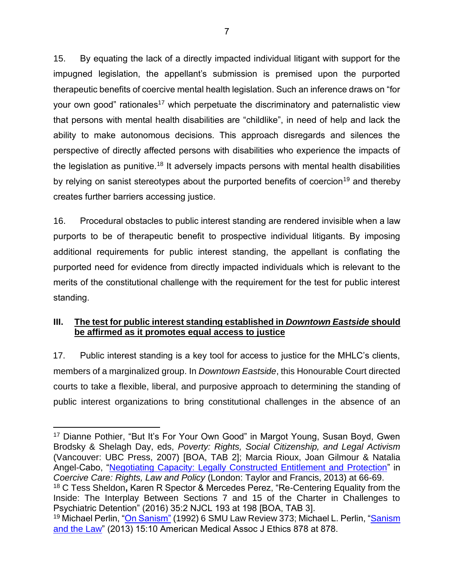<span id="page-17-0"></span>15. By equating the lack of a directly impacted individual litigant with support for the impugned legislation, the appellant's submission is premised upon the purported therapeutic benefits of coercive mental health legislation. Such an inference draws on "for your own good" rationales<sup>17</sup> which perpetuate the discriminatory and paternalistic view that persons with mental health disabilities are "childlike", in need of help and lack the ability to make autonomous decisions. This approach disregards and silences the perspective of directly affected persons with disabilities who experience the impacts of the legislation as punitive.<sup>18</sup> It adversely impacts persons with mental health disabilities by relying on sanist stereotypes about the purported benefits of coercion<sup>19</sup> and thereby creates further barriers accessing justice.

16. Procedural obstacles to public interest standing are rendered invisible when a law purports to be of therapeutic benefit to prospective individual litigants. By imposing additional requirements for public interest standing, the appellant is conflating the purported need for evidence from directly impacted individuals which is relevant to the merits of the constitutional challenge with the requirement for the test for public interest standing.

### **III. The test for public interest standing established in** *Downtown Eastside* **should be affirmed as it promotes equal access to justice**

17. Public interest standing is a key tool for access to justice for the MHLC's clients, members of a marginalized group. In *Downtown Eastside*, this Honourable Court directed courts to take a flexible, liberal, and purposive approach to determining the standing of public interest organizations to bring constitutional challenges in the absence of an

<sup>18</sup> C Tess Sheldon**,** Karen R Spector & Mercedes Perez, "Re-Centering Equality from the Inside: The Interplay Between Sections 7 and 15 of the Charter in Challenges to Psychiatric Detention" (2016) 35:2 NJCL 193 at 198 [BOA, TAB 3].

<sup>17</sup> Dianne Pothier, "But It's For Your Own Good" in Margot Young, Susan Boyd, Gwen Brodsky & Shelagh Day, eds, *Poverty: Rights, Social Citizenship, and Legal Activism* (Vancouver: UBC Press, 2007) [BOA, TAB 2]; Marcia Rioux, Joan Gilmour & Natalia Angel-Cabo, ["Negotiating Capacity: Legally Constructed Entitlement and Protection"](https://drpi.research.yorku.ca/wp-content/uploads/2019/04/Coercive_Care_Rights_Law_and_Policy_-_4_Negotiating_capacity_legally_constructed_entitlement_and_protection.pdf) in *Coercive Care: Rights, Law and Policy* (London: Taylor and Francis, 2013) at 66-69.

<sup>&</sup>lt;sup>19</sup> Michael Perlin, ["On Sanism"](https://scholar.smu.edu/cgi/viewcontent.cgi?article=2269&context=smulr) (1992) 6 SMU Law Review 373; Michael L. Perlin, "Sanism [and the Law"](https://journalofethics.ama-assn.org/sites/journalofethics.ama-assn.org/files/2018-05/msoc1-1310%20%281%29.pdf) (2013) 15:10 American Medical Assoc J Ethics 878 at 878.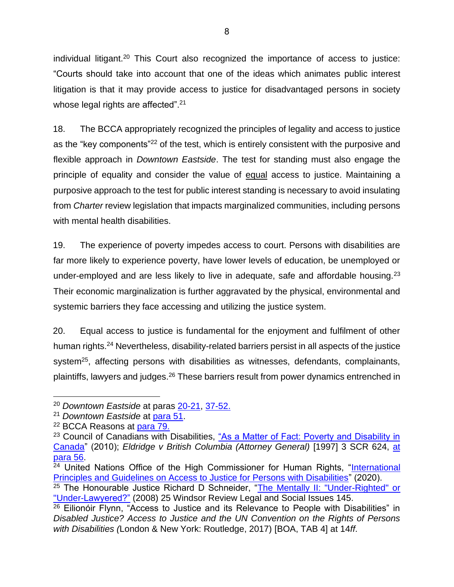individual litigant.<sup>20</sup> This Court also recognized the importance of access to justice: "Courts should take into account that one of the ideas which animates public interest litigation is that it may provide access to justice for disadvantaged persons in society whose legal rights are affected".<sup>21</sup>

18. The BCCA appropriately recognized the principles of legality and access to justice as the "key components"<sup>22</sup> of the test, which is entirely consistent with the purposive and flexible approach in *Downtown Eastside*. The test for standing must also engage the principle of equality and consider the value of equal access to justice. Maintaining a purposive approach to the test for public interest standing is necessary to avoid insulating from *Charter* review legislation that impacts marginalized communities, including persons with mental health disabilities.

19. The experience of poverty impedes access to court. Persons with disabilities are far more likely to experience poverty, have lower levels of education, be unemployed or under-employed and are less likely to live in adequate, safe and affordable housing.<sup>23</sup> Their economic marginalization is further aggravated by the physical, environmental and systemic barriers they face accessing and utilizing the justice system.

20. Equal access to justice is fundamental for the enjoyment and fulfilment of other human rights.<sup>24</sup> Nevertheless, disability-related barriers persist in all aspects of the justice system<sup>25</sup>, affecting persons with disabilities as witnesses, defendants, complainants, plaintiffs, lawyers and judges.<sup>26</sup> These barriers result from power dynamics entrenched in

<sup>20</sup> *Downtown Eastside* at paras [20-21,](https://canlii.ca/t/fss7s#par20) [37-52.](https://canlii.ca/t/fss7s#par37)

<sup>21</sup> *Downtown Eastside* at [para 51.](https://canlii.ca/t/fss7s#par51)

<sup>22</sup> BCCA Reasons at [para 79.](https://www.canlii.org/en/bc/bcca/doc/2020/2020bcca241/2020bcca241.html#par79)

<sup>&</sup>lt;sup>23</sup> Council of Canadians with Disabilities, "As a Matter of Fact: Poverty and Disability in [Canada"](http://www.ccdonline.ca/en/socialpolicy/poverty-citizenship/demographic-profile/povertydisability-canada) (2010); *Eldridge v British Columbia (Attorney General)* [1997] 3 SCR 624, [at](https://canlii.ca/t/1fqx5)  [para 56.](https://canlii.ca/t/1fqx5)

<sup>&</sup>lt;sup>24</sup> United Nations Office of the High Commissioner for Human Rights, "International [Principles and Guidelines on Access to Justice for Persons with Disabilities"](http://www.ohchr.org/EN/Issues/Disability/SRDisabilities/Pages/GoodPracticesEffectiveAccessJusticePersonsDisabilities.aspx) (2020).

<sup>&</sup>lt;sup>25</sup> The Honourable Justice Richard D Schneider, "The Mentally II: "Under-Righted" or ["Under-Lawyered?"](https://heinonline.org/HOL/P?h=hein.journals/wrlsi25&i=149) (2008) 25 Windsor Review Legal and Social Issues 145.

 $26$  Eilionóir Flynn, "Access to Justice and its Relevance to People with Disabilities" in *Disabled Justice? Access to Justice and the UN Convention on the Rights of Persons with Disabilities (*London & New York: Routledge, 2017) [BOA, TAB 4] at 14*ff*.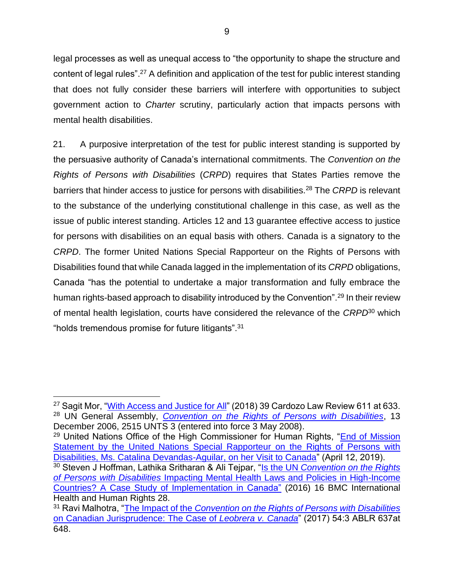legal processes as well as unequal access to "the opportunity to shape the structure and content of legal rules".<sup>27</sup> A definition and application of the test for public interest standing that does not fully consider these barriers will interfere with opportunities to subject government action to *Charter* scrutiny, particularly action that impacts persons with mental health disabilities.

21. A purposive interpretation of the test for public interest standing is supported by the persuasive authority of Canada's international commitments. The *Convention on the Rights of Persons with Disabilities* (*CRPD*) requires that States Parties remove the barriers that hinder access to justice for persons with disabilities.<sup>28</sup> The *CRPD* is relevant to the substance of the underlying constitutional challenge in this case, as well as the issue of public interest standing. Articles 12 and 13 guarantee effective access to justice for persons with disabilities on an equal basis with others. Canada is a signatory to the *CRPD*. The former United Nations Special Rapporteur on the Rights of Persons with Disabilities found that while Canada lagged in the implementation of its *CRPD* obligations, Canada "has the potential to undertake a major transformation and fully embrace the human rights-based approach to disability introduced by the Convention".<sup>29</sup> In their review of mental health legislation, courts have considered the relevance of the *CRPD*<sup>30</sup> which "holds tremendous promise for future litigants".<sup>31</sup>

<sup>&</sup>lt;sup>27</sup> Sagit Mor, ["With Access and Justice for All"](http://cardozolawreview.com/wp-content/uploads/2018/08/MOR.39.2.pdf) (2018) 39 Cardozo Law Review 611 at 633. <sup>28</sup> UN General Assembly, *[Convention on the Rights of Persons with Disabilities](https://www.un.org/development/desa/disabilities/convention-on-the-rights-of-persons-with-disabilities/convention-on-the-rights-of-persons-with-disabilities-2.html)*, 13 December 2006, 2515 UNTS 3 (entered into force 3 May 2008).

<sup>&</sup>lt;sup>29</sup> United Nations Office of the High Commissioner for Human Rights, "End of Mission [Statement by the United Nations Special Rapporteur on the Rights of Persons with](http://www.ohchr.org/EN/NewsEvents/Pages/DisplayNews.aspx?NewsID=24481)  [Disabilities, Ms. Catalina Devandas-Aguilar, on her Visit to Canada"](http://www.ohchr.org/EN/NewsEvents/Pages/DisplayNews.aspx?NewsID=24481) (April 12, 2019).

<sup>30</sup> Steven J Hoffman, Lathika Sritharan & Ali Tejpar, "Is the UN *[Convention on the Rights](https://bmcinthealthhumrights.biomedcentral.com/articles/10.1186/s12914-016-0103-1)  of Persons with Disabilities* [Impacting Mental Health Laws and Policies in High-Income](https://bmcinthealthhumrights.biomedcentral.com/articles/10.1186/s12914-016-0103-1)  [Countries? A Case Study of Implementation in Canada"](https://bmcinthealthhumrights.biomedcentral.com/articles/10.1186/s12914-016-0103-1) (2016) 16 BMC International Health and Human Rights 28.

<sup>31</sup> Ravi Malhotra, "The Impact of the *[Convention on the Rights of Persons with Disabilities](https://albertalawreview.com/index.php/ALR/article/view/766/759)*  [on Canadian Jurisprudence: The Case of](https://albertalawreview.com/index.php/ALR/article/view/766/759) *Leobrera v. Canada*" (2017) 54:3 ABLR 637at 648.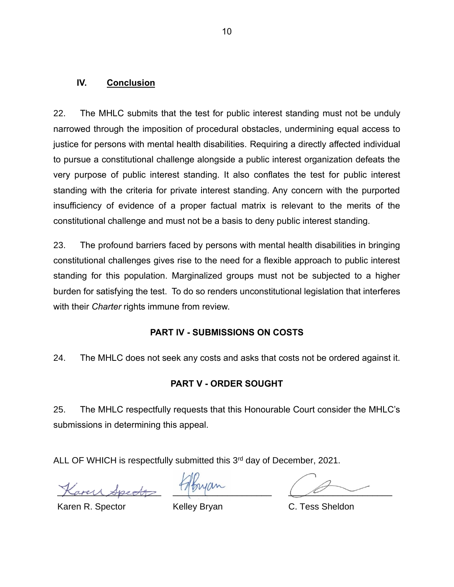#### <span id="page-20-0"></span>**IV. Conclusion**

22. The MHLC submits that the test for public interest standing must not be unduly narrowed through the imposition of procedural obstacles, undermining equal access to justice for persons with mental health disabilities. Requiring a directly affected individual to pursue a constitutional challenge alongside a public interest organization defeats the very purpose of public interest standing. It also conflates the test for public interest standing with the criteria for private interest standing. Any concern with the purported insufficiency of evidence of a proper factual matrix is relevant to the merits of the constitutional challenge and must not be a basis to deny public interest standing.

23. The profound barriers faced by persons with mental health disabilities in bringing constitutional challenges gives rise to the need for a flexible approach to public interest standing for this population. Marginalized groups must not be subjected to a higher burden for satisfying the test. To do so renders unconstitutional legislation that interferes with their *Charter* rights immune from review.

### **PART IV - SUBMISSIONS ON COSTS**

24. The MHLC does not seek any costs and asks that costs not be ordered against it.

### **PART V - ORDER SOUGHT**

25. The MHLC respectfully requests that this Honourable Court consider the MHLC's submissions in determining this appeal.

ALL OF WHICH is respectfully submitted this 3<sup>rd</sup> day of December, 2021.

\_\_\_\_\_\_\_\_\_\_\_\_\_\_\_\_\_\_\_\_\_

\_\_\_\_\_\_\_\_\_\_\_\_\_\_\_\_\_\_\_\_

 $\overline{\phantom{a}}$ 

Karen R. Spector

Kelley Bryan

C. Tess Sheldon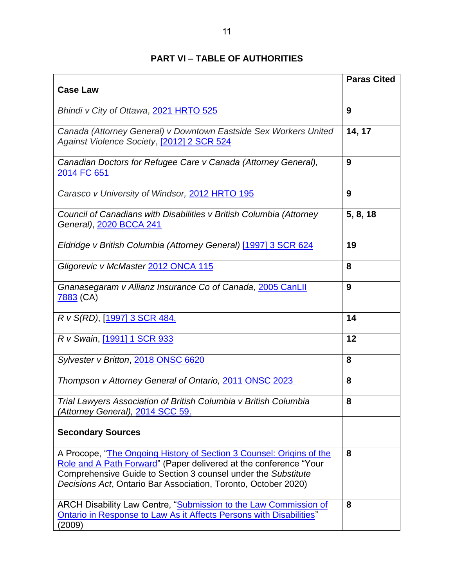<span id="page-21-0"></span>

| <b>Case Law</b>                                                                                                                                                                                                                                                              | <b>Paras Cited</b> |
|------------------------------------------------------------------------------------------------------------------------------------------------------------------------------------------------------------------------------------------------------------------------------|--------------------|
|                                                                                                                                                                                                                                                                              |                    |
| Bhindi v City of Ottawa, 2021 HRTO 525                                                                                                                                                                                                                                       | 9                  |
| Canada (Attorney General) v Downtown Eastside Sex Workers United<br>Against Violence Society, <a>[2012]</a> 2 SCR 524                                                                                                                                                        | 14, 17             |
| Canadian Doctors for Refugee Care v Canada (Attorney General),<br>2014 FC 651                                                                                                                                                                                                | 9                  |
| Carasco v University of Windsor, 2012 HRTO 195                                                                                                                                                                                                                               | 9                  |
| Council of Canadians with Disabilities v British Columbia (Attorney<br>General), 2020 BCCA 241                                                                                                                                                                               | 5, 8, 18           |
| Eldridge v British Columbia (Attorney General) [1997] 3 SCR 624                                                                                                                                                                                                              | 19                 |
| Gligorevic v McMaster 2012 ONCA 115                                                                                                                                                                                                                                          | 8                  |
| Gnanasegaram v Allianz Insurance Co of Canada, 2005 CanLII<br>7883 (CA)                                                                                                                                                                                                      | 9                  |
| R v S(RD), [1997] 3 SCR 484.                                                                                                                                                                                                                                                 | 14                 |
| R v Swain, [1991] 1 SCR 933                                                                                                                                                                                                                                                  | 12                 |
| Sylvester v Britton, 2018 ONSC 6620                                                                                                                                                                                                                                          | 8                  |
| Thompson v Attorney General of Ontario, 2011 ONSC 2023                                                                                                                                                                                                                       | 8                  |
| Trial Lawyers Association of British Columbia v British Columbia<br>'Attorney General), 2014 SCC 59.                                                                                                                                                                         | 8                  |
| <b>Secondary Sources</b>                                                                                                                                                                                                                                                     |                    |
| A Procope, "The Ongoing History of Section 3 Counsel: Origins of the<br>Role and A Path Forward" (Paper delivered at the conference "Your<br>Comprehensive Guide to Section 3 counsel under the Substitute<br>Decisions Act, Ontario Bar Association, Toronto, October 2020) | 8                  |
| ARCH Disability Law Centre, "Submission to the Law Commission of<br><b>Ontario in Response to Law As it Affects Persons with Disabilities</b> "<br>(2009)                                                                                                                    | 8                  |

## **PART VI – TABLE OF AUTHORITIES**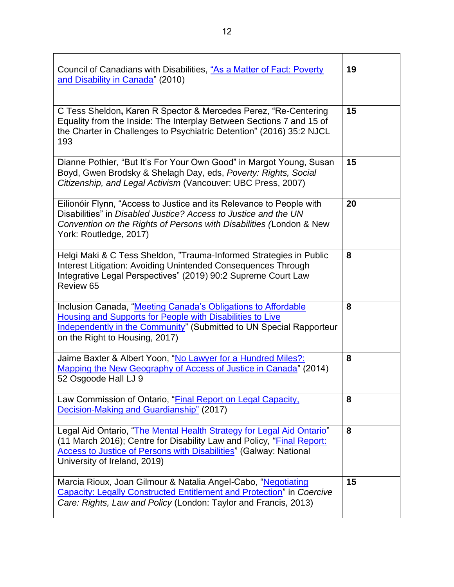| Council of Canadians with Disabilities, "As a Matter of Fact: Poverty<br>and Disability in Canada" (2010)                                                                                                                                                  | 19 |
|------------------------------------------------------------------------------------------------------------------------------------------------------------------------------------------------------------------------------------------------------------|----|
| C Tess Sheldon, Karen R Spector & Mercedes Perez, "Re-Centering<br>Equality from the Inside: The Interplay Between Sections 7 and 15 of<br>the Charter in Challenges to Psychiatric Detention" (2016) 35:2 NJCL<br>193                                     | 15 |
| Dianne Pothier, "But It's For Your Own Good" in Margot Young, Susan<br>Boyd, Gwen Brodsky & Shelagh Day, eds, Poverty: Rights, Social<br>Citizenship, and Legal Activism (Vancouver: UBC Press, 2007)                                                      | 15 |
| Eilionóir Flynn, "Access to Justice and its Relevance to People with<br>Disabilities" in Disabled Justice? Access to Justice and the UN<br>Convention on the Rights of Persons with Disabilities (London & New<br>York: Routledge, 2017)                   | 20 |
| Helgi Maki & C Tess Sheldon, "Trauma-Informed Strategies in Public<br>Interest Litigation: Avoiding Unintended Consequences Through<br>Integrative Legal Perspectives" (2019) 90:2 Supreme Court Law<br>Review 65                                          | 8  |
| Inclusion Canada, "Meeting Canada's Obligations to Affordable<br>Housing and Supports for People with Disabilities to Live<br>Independently in the Community" (Submitted to UN Special Rapporteur<br>on the Right to Housing, 2017)                        | 8  |
| Jaime Baxter & Albert Yoon, "No Lawyer for a Hundred Miles?:<br>Mapping the New Geography of Access of Justice in Canada" (2014)<br>52 Osgoode Hall LJ 9                                                                                                   | 8  |
| Law Commission of Ontario, "Final Report on Legal Capacity,<br>Decision-Making and Guardianship" (2017)                                                                                                                                                    | 8  |
| Legal Aid Ontario, "The Mental Health Strategy for Legal Aid Ontario"<br>(11 March 2016); Centre for Disability Law and Policy, "Final Report:<br><b>Access to Justice of Persons with Disabilities" (Galway: National</b><br>University of Ireland, 2019) | 8  |
| Marcia Rioux, Joan Gilmour & Natalia Angel-Cabo, "Negotiating<br><b>Capacity: Legally Constructed Entitlement and Protection" in Coercive</b><br>Care: Rights, Law and Policy (London: Taylor and Francis, 2013)                                           | 15 |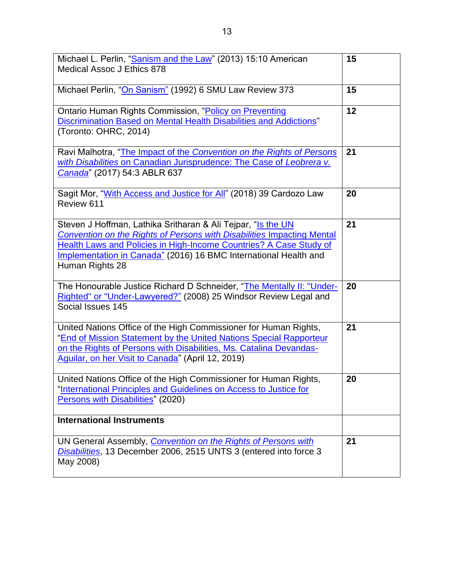| Michael L. Perlin, "Sanism and the Law" (2013) 15:10 American<br>Medical Assoc J Ethics 878                                                                                                                                                                                                                | 15 |
|------------------------------------------------------------------------------------------------------------------------------------------------------------------------------------------------------------------------------------------------------------------------------------------------------------|----|
| Michael Perlin, "On Sanism" (1992) 6 SMU Law Review 373                                                                                                                                                                                                                                                    | 15 |
| Ontario Human Rights Commission, "Policy on Preventing<br>Discrimination Based on Mental Health Disabilities and Addictions"<br>(Toronto: OHRC, 2014)                                                                                                                                                      | 12 |
| Ravi Malhotra, "The Impact of the Convention on the Rights of Persons<br>with Disabilities on Canadian Jurisprudence: The Case of Leobrera v.<br>Canada" (2017) 54:3 ABLR 637                                                                                                                              | 21 |
| Sagit Mor, "With Access and Justice for All" (2018) 39 Cardozo Law<br>Review 611                                                                                                                                                                                                                           | 20 |
| Steven J Hoffman, Lathika Sritharan & Ali Tejpar, "Is the UN<br>Convention on the Rights of Persons with Disabilities Impacting Mental<br><b>Health Laws and Policies in High-Income Countries? A Case Study of</b><br>Implementation in Canada" (2016) 16 BMC International Health and<br>Human Rights 28 | 21 |
| The Honourable Justice Richard D Schneider, "The Mentally II: "Under-<br>Righted" or "Under-Lawyered?" (2008) 25 Windsor Review Legal and<br>Social Issues 145                                                                                                                                             | 20 |
| United Nations Office of the High Commissioner for Human Rights,<br>"End of Mission Statement by the United Nations Special Rapporteur<br>on the Rights of Persons with Disabilities, Ms. Catalina Devandas-<br>Aguilar, on her Visit to Canada" (April 12, 2019)                                          | 21 |
| United Nations Office of the High Commissioner for Human Rights,<br>"International Principles and Guidelines on Access to Justice for<br>Persons with Disabilities" (2020)                                                                                                                                 | 20 |
| <b>International Instruments</b>                                                                                                                                                                                                                                                                           |    |
| UN General Assembly, Convention on the Rights of Persons with<br>Disabilities, 13 December 2006, 2515 UNTS 3 (entered into force 3<br>May 2008)                                                                                                                                                            | 21 |